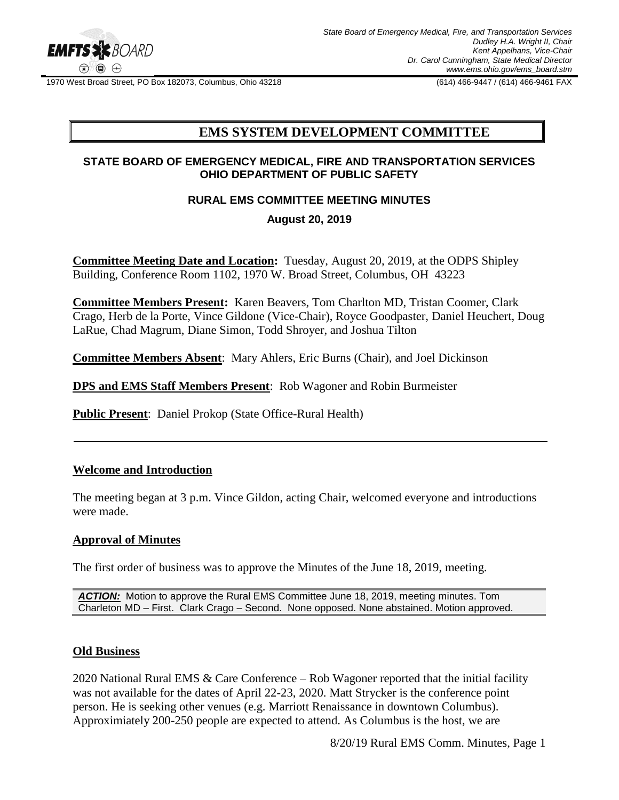

1970 West Broad Street, PO Box 182073, Columbus, Ohio 43218 (614) 466-9447 / (614) 466-9461 FAX

# **EMS SYSTEM DEVELOPMENT COMMITTEE**

### **STATE BOARD OF EMERGENCY MEDICAL, FIRE AND TRANSPORTATION SERVICES OHIO DEPARTMENT OF PUBLIC SAFETY**

### **RURAL EMS COMMITTEE MEETING MINUTES**

### **August 20, 2019**

**Committee Meeting Date and Location:** Tuesday, August 20, 2019, at the ODPS Shipley Building, Conference Room 1102, 1970 W. Broad Street, Columbus, OH 43223

**Committee Members Present:** Karen Beavers, Tom Charlton MD, Tristan Coomer, Clark Crago, Herb de la Porte, Vince Gildone (Vice-Chair), Royce Goodpaster, Daniel Heuchert, Doug LaRue, Chad Magrum, Diane Simon, Todd Shroyer, and Joshua Tilton

**Committee Members Absent**: Mary Ahlers, Eric Burns (Chair), and Joel Dickinson

**DPS and EMS Staff Members Present**: Rob Wagoner and Robin Burmeister

**Public Present**: Daniel Prokop (State Office-Rural Health)

### **Welcome and Introduction**

The meeting began at 3 p.m. Vince Gildon, acting Chair, welcomed everyone and introductions were made.

#### **Approval of Minutes**

The first order of business was to approve the Minutes of the June 18, 2019, meeting.

*ACTION:* Motion to approve the Rural EMS Committee June 18, 2019, meeting minutes. Tom Charleton MD – First. Clark Crago – Second. None opposed. None abstained. Motion approved.

#### **Old Business**

2020 National Rural EMS & Care Conference – Rob Wagoner reported that the initial facility was not available for the dates of April 22-23, 2020. Matt Strycker is the conference point person. He is seeking other venues (e.g. Marriott Renaissance in downtown Columbus). Approximiately 200-250 people are expected to attend. As Columbus is the host, we are

8/20/19 Rural EMS Comm. Minutes, Page 1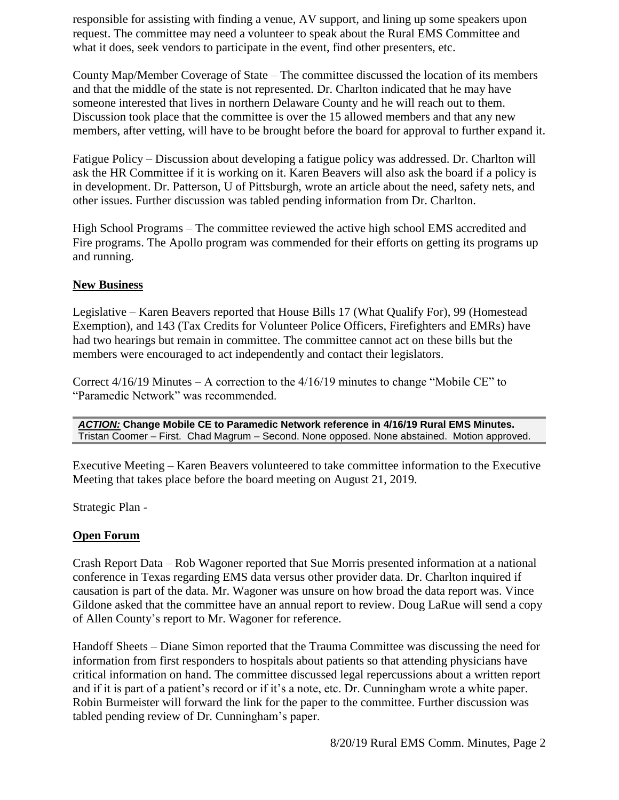responsible for assisting with finding a venue, AV support, and lining up some speakers upon request. The committee may need a volunteer to speak about the Rural EMS Committee and what it does, seek vendors to participate in the event, find other presenters, etc.

County Map/Member Coverage of State – The committee discussed the location of its members and that the middle of the state is not represented. Dr. Charlton indicated that he may have someone interested that lives in northern Delaware County and he will reach out to them. Discussion took place that the committee is over the 15 allowed members and that any new members, after vetting, will have to be brought before the board for approval to further expand it.

Fatigue Policy – Discussion about developing a fatigue policy was addressed. Dr. Charlton will ask the HR Committee if it is working on it. Karen Beavers will also ask the board if a policy is in development. Dr. Patterson, U of Pittsburgh, wrote an article about the need, safety nets, and other issues. Further discussion was tabled pending information from Dr. Charlton.

High School Programs – The committee reviewed the active high school EMS accredited and Fire programs. The Apollo program was commended for their efforts on getting its programs up and running.

## **New Business**

Legislative – Karen Beavers reported that House Bills 17 (What Qualify For), 99 (Homestead Exemption), and 143 (Tax Credits for Volunteer Police Officers, Firefighters and EMRs) have had two hearings but remain in committee. The committee cannot act on these bills but the members were encouraged to act independently and contact their legislators.

Correct 4/16/19 Minutes – A correction to the 4/16/19 minutes to change "Mobile CE" to "Paramedic Network" was recommended.

*ACTION:* **Change Mobile CE to Paramedic Network reference in 4/16/19 Rural EMS Minutes.** Tristan Coomer – First. Chad Magrum – Second. None opposed. None abstained. Motion approved.

Executive Meeting – Karen Beavers volunteered to take committee information to the Executive Meeting that takes place before the board meeting on August 21, 2019.

Strategic Plan -

## **Open Forum**

Crash Report Data – Rob Wagoner reported that Sue Morris presented information at a national conference in Texas regarding EMS data versus other provider data. Dr. Charlton inquired if causation is part of the data. Mr. Wagoner was unsure on how broad the data report was. Vince Gildone asked that the committee have an annual report to review. Doug LaRue will send a copy of Allen County's report to Mr. Wagoner for reference.

Handoff Sheets – Diane Simon reported that the Trauma Committee was discussing the need for information from first responders to hospitals about patients so that attending physicians have critical information on hand. The committee discussed legal repercussions about a written report and if it is part of a patient's record or if it's a note, etc. Dr. Cunningham wrote a white paper. Robin Burmeister will forward the link for the paper to the committee. Further discussion was tabled pending review of Dr. Cunningham's paper.